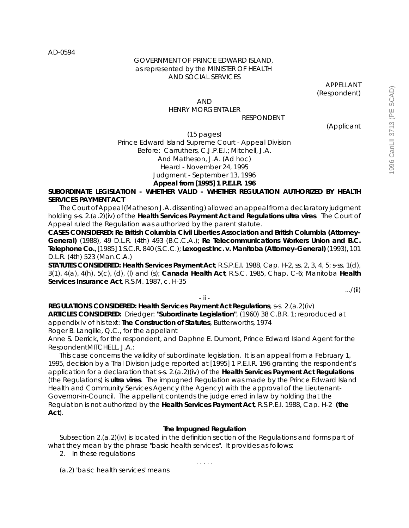AD-0594

## GOVERNMENT OF PRINCE EDWARD ISLAND, as represented by the MINISTER OF HEALTH AND SOCIAL SERVICES

APPELLANT (Respondent)

### AND HENRY MORGENTALER RESPONDENT

(Applicant

(15 pages)

# Prince Edward Island Supreme Court - Appeal Division Before: Carruthers, C.J.P.E.I.; Mitchell, J.A. And Matheson, J.A. (Ad hoc) Heard - November 24, 1995 Judgment - September 13, 1996 **Appeal from [1995] 1 P.E.I.R. 196**

**SUBORDINATE LEGISLATION - WHETHER VALID - WHETHER REGULATION AUTHORIZED BY HEALTH SERVICES PAYMENT ACT**

The Court of Appeal (Matheson J.A. dissenting) allowed an appeal from a declaratory judgment holding s-s. 2.(a.2)(iv) of the **Health Services Payment Act and Regulations** *ultra vires*. The Court of Appeal ruled the Regulation was authorized by the parent statute.

**CASES CONSIDERED: Re British Columbia Civil Liberties Association and British Columbia (Attorney-General)** (1988), 49 D.L.R. (4th) 493 (B.C.C.A.); **Re Telecommunications Workers Union and B.C. Telephone Co.**, [1985] 1 S.C.R. 840 (S.C.C.); **Lexogest Inc. v. Manitoba (Attorney-General)** (1993), 101 D.L.R. (4th) 523 (Man.C.A.)

**STATUTES CONSIDERED: Health Services Payment Act**, R.S.P.E.I. 1988, Cap. H-2, ss. 2, 3, 4, 5; s-ss. 1(d), 3(1), 4(a), 4(h), 5(c), (d), (l) and (s); **Canada Health Act**, R.S.C. 1985, Chap. C-6; Manitoba **Health Services Insurance Act**, R.S.M. 1987, c. H-35

.../(ii)

- ii -

**REGULATIONS CONSIDERED: Health Services Payment Act Regulations**, s-s. 2.(a.2)(iv) **ARTICLES CONSIDERED:** Driedger: **"Subordinate Legislation"**, (1960) 38 C.B.R. 1; reproduced at appendix iv of his text: **The Construction of Statutes**, Butterworths, 1974

Roger B. Langille, Q.C., for the appellant

Anne S. Derrick, for the respondent, and Daphne E. Dumont, Prince Edward Island Agent for the RespondentMITCHELL, J.A.:

This case concerns the validity of subordinate legislation. It is an appeal from a February 1, 1995, decision by a Trial Division judge reported at [1995] 1 P.E.I.R. 196 granting the respondent's application for a declaration that s-s. 2.(a.2)(iv) of the **Health Services Payment Act Regulations** (the Regulations) is *ultra vires*. The impugned Regulation was made by the Prince Edward Island Health and Community Services Agency (the Agency) with the approval of the Lieutenant-Governor-in-Council. The appellant contends the judge erred in law by holding that the Regulation is not authorized by the **Health Services Payment Act**, R.S.P.E.I. 1988, Cap. H-2 **(the Act**).

# **The Impugned Regulation**

Subsection 2.(a.2)(iv) is located in the definition section of the Regulations and forms part of what they mean by the phrase "basic health services". It provides as follows:

. . . . .

2. In these regulations

(a.2) 'basic health services' means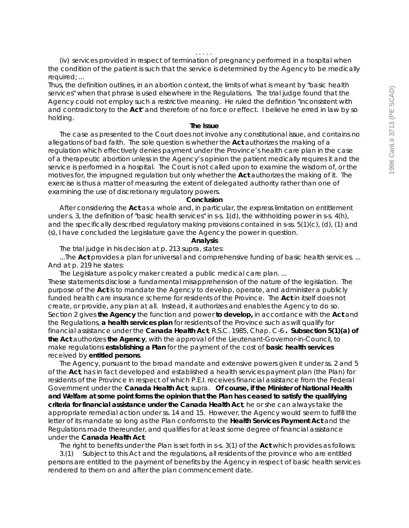(iv) services provided in respect of termination of pregnancy performed in a hospital when the condition of the patient is such that the service is determined by the Agency to be medically required; ...

Thus, the definition outlines, in an abortion context, the limits of what is meant by "basic health services" when that phrase is used elsewhere in the Regulations. The trial judge found that the Agency could not employ such a restrictive meaning. He ruled the definition "inconsistent with and contradictory to the **Act**" and therefore of no force or effect. I believe he erred in law by so holding.

#### **The Issue**

The case as presented to the Court does not involve any constitutional issue, and contains no allegations of bad faith. The sole question is whether the **Act** authorizes the making of a regulation which effectively denies payment under the Province's health care plan in the case of a therapeutic abortion unless in the Agency's opinion the patient medically requires it and the service is performed in a hospital. The Court is not called upon to examine the wisdom of, or the motives for, the impugned regulation but only whether the **Act** authorizes the making of it. The exercise is thus a matter of measuring the extent of delegated authority rather than one of examining the use of discretionary regulatory powers.

## **Conclusion**

After considering the **Act** as a whole and, in particular, the express limitation on entitlement under s. 3, the definition of "basic health services" in s-s. 1(d), the withholding power in s-s. 4(h), and the specifically described regulatory making provisions contained in s-ss. 5(1)(c), (d), (1) and (s), I have concluded the Legislature gave the Agency the power in question.

#### **Analysis**

The trial judge in his decision at p. 213 supra, states:

...The **Act** provides a plan for universal and comprehensive funding of basic health services. ... And at p. 219 he states:

The Legislature as policy maker created a public medical care plan. ... These statements disclose a fundamental misapprehension of the nature of the legislation. The purpose of the **Act** is to mandate the Agency to develop, operate, and administer a publicly funded health care insurance scheme for residents of the Province. The **Act** in itself does not create, or provide, any plan at all. Instead, it authorizes and enables the Agency to do so. Section 2 gives **the Agency** the function and power **to develop,** in accordance with the **Act** and the Regulations, **a health services plan** for residents of the Province such as will qualify for financial assistance under the **Canada Health Act**, R.S.C. 1985, Chap. C-6 **. Subsection 5(1)(a) of the Act** authorizes **the Agency**, with the approval of the Lieutenant-Governor-in-Council, to make regulations **establishing a Plan** for the payment of the cost of **basic health services** received by **entitled persons**.

The Agency, pursuant to the broad mandate and extensive powers given it under ss. 2 and 5 of the **Act**, has in fact developed and established a health services payment plan (the Plan) for residents of the Province in respect of which P.E.I. receives financial assistance from the Federal Government under the **Canada Health Act**, supra. **Of course, if the Minister of National Health and Welfare at some point forms the opinion that the Plan has ceased to satisfy the qualifying criteria for financial assistance under the Canada Health Act**, he or she can always take the appropriate remedial action under ss. 14 and 15. However, the Agency would seem to fulfill the letter of its mandate so long as the Plan conforms to the **Health Services Payment Act** and the Regulations made thereunder, and qualifies for at least some degree of financial assistance under the **Canada Health Act**.

The right to benefits under the Plan is set forth in s-s. 3(1) of the **Act** which provides as follows:

3.(1) Subject to this Act and the regulations, all residents of the province who are entitled persons are entitled to the payment of benefits by the Agency in respect of basic health services rendered to them on and after the plan commencement date.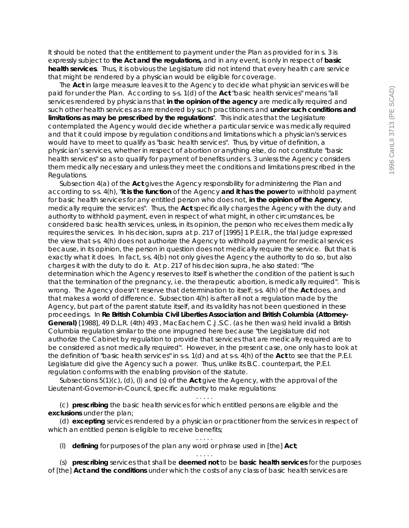It should be noted that the entitlement to payment under the Plan as provided for in s. 3 is expressly subject to **the Act and the regulations,** and in any event, is only in respect of **basic health services**. Thus, it is obvious the Legislature did not intend that every health care service that might be rendered by a physician would be eligible for coverage.

The **Act** in large measure leaves it to the Agency to decide what physician services will be paid for under the Plan. According to s-s. 1(d) of the **Act** "basic health services" means "all services rendered by physicians that **in the opinion of the agency** are medically required and such other health services as are rendered by such practitioners and **under such conditions and limitations as may be prescribed by the regulations**". This indicates that the Legislature contemplated the Agency would decide whether a particular service was medically required and that it could impose by regulation conditions and limitations which a physician's services would have to meet to qualify as "basic health services". Thus, by virtue of definition, a physician's services, whether in respect of abortion or anything else, do not constitute "basic health services" so as to qualify for payment of benefits under s. 3 unless the Agency considers them medically necessary and unless they meet the conditions and limitations prescribed in the Regulations.

Subsection 4(a) of the **Act** gives the Agency responsibility for administering the Plan and according to s-s. 4(h), "**it is the function** of the Agency **and it has the power** to withhold payment for basic health services for any entitled person who does not, **in the opinion of the Agency**, medically require the services". Thus, the **Act** specifically charges the Agency with the duty and authority to withhold payment, even in respect of what might, in other circumstances, be considered basic health services, unless, in its opinion, the person who receives them medically requires the services. In his decision, supra at p. 217 of [1995] 1 P.E.I.R., the trial judge expressed the view that s-s. 4(h) does not authorize the Agency to withhold payment for medical services because, in its opinion, the person in question does not medically require the service. But that is exactly what it does. In fact, s-s. 4(b) not only gives the Agency the authority to do so, but also charges it with the duty to do it. At p. 217 of his decision supra, he also stated: "The determination which the Agency reserves to itself is whether the condition of the patient is such that the termination of the pregnancy, i.e. the therapeutic abortion, is medically required". This is wrong. The Agency doesn't reserve that determination to itself; s-s. 4(h) of the **Act** does, and that makes a world of difference. Subsection 4(h) is after all not a regulation made by the Agency, but part of the parent statute itself, and its validity has not been questioned in these proceedings. In **Re British Columbia Civil Liberties Association and British Columbia (Attorney-General)** [1988], 49 D.L.R. (4th) 493 , MacEachern C.J.S.C. (as he then was) held invalid a British Columbia regulation similar to the one impugned here because "the Legislature did not authorize the Cabinet by regulation to provide that services that are medically required are to be considered as not medically required". However, in the present case, one only has to look at the definition of "basic health services" in s-s. 1(d) and at s-s. 4(h) of the **Act** to see that the P.E.I. Legislature did give the Agency such a power. Thus, unlike its B.C. counterpart, the P.E.I. regulation conforms with the enabling provision of the statute.

Subsections 5(1)(c), (d), (l) and (s) of the **Act** give the Agency, with the approval of the Lieutenant-Governor-in-Council, specific authority to make regulations:

(c) *prescribing* the basic health services for which entitled persons are eligible and the *exclusions* under the plan;

(d) *excepting* services rendered by a physician or practitioner from the services in respect of which an entitled person is eligible to receive benefits; . . . . .

. . . . .

(l) *defining* for purposes of the plan any word or phrase used in [the] **Act**;

. . . . . (s) *prescribing* services that shall be *deemed not* to be *basic health services* for the purposes of [the] **Act** *and the conditions* under which the costs of any class of basic health services are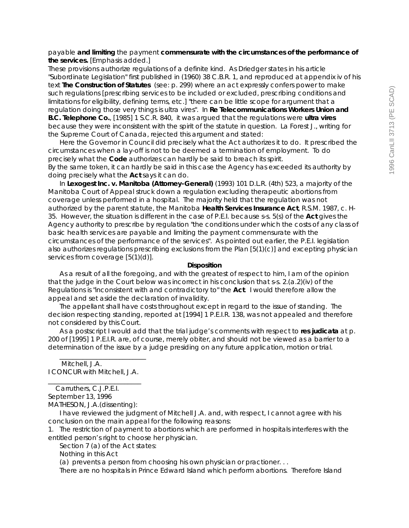# payable *and limiting* the payment *commensurate with the circumstances of the performance of the services. [Emphasis added.]*

These provisions authorize regulations of a definite kind. As Driedger states in his article "Subordinate Legislation" first published in (1960) 38 C.B.R. 1, and reproduced at appendix iv of his text **The Construction of Statutes** (see: p. 299) where an act expressly confers power to make such regulations [prescribing services to be included or excluded, prescribing conditions and limitations for eligibility, defining terms, etc.] "there can be little scope for argument that a regulation doing those very things is ultra vires". In **Re Telecommunications Workers Union and B.C. Telephone Co.**, [1985] 1 S.C.R. 840, it was argued that the regulations were *ultra vires* because they were inconsistent with the spirit of the statute in question. La Forest J., writing for the Supreme Court of Canada, rejected this argument and stated:

Here the Governor in Council did precisely what the Act authorizes it to do. It prescribed the circumstances when a lay-off is not to be deemed a termination of employment. To do precisely what the *Code* authorizes can hardly be said to breach its spirit. By the same token, it can hardly be said in this case the Agency has exceeded its authority by doing precisely what the **Act** says it can do.

In **Lexogest Inc. v. Manitoba (Attorney-General)** (1993) 101 D.L.R. (4th) 523, a majority of the Manitoba Court of Appeal struck down a regulation excluding therapeutic abortions from coverage unless performed in a hospital. The majority held that the regulation was not authorized by the parent statute, the Manitoba **Health Services Insurance Act**, R.S.M. 1987, c. H-35. However, the situation is different in the case of P.E.I. because s-s. 5(s) of the **Act** gives the Agency authority to prescribe by regulation "the conditions under which the costs of any class of basic health services are payable and limiting the payment commensurate with the circumstances of the performance of the services". As pointed out earlier, the P.E.I. legislation also authorizes regulations prescribing exclusions from the Plan [5(1)(c)] and excepting physician services from coverage [5(1)(d)].

## **Disposition**

As a result of all the foregoing, and with the greatest of respect to him, I am of the opinion that the judge in the Court below was incorrect in his conclusion that s-s. 2.(a.2)(iv) of the Regulations is "inconsistent with and contradictory to" the **Act**. I would therefore allow the appeal and set aside the declaration of invalidity.

The appellant shall have costs throughout except in regard to the issue of standing. The decision respecting standing, reported at [1994] 1 P.E.I.R. 138, was not appealed and therefore not considered by this Court.

As a postscript I would add that the trial judge's comments with respect to **res judicata** at p. 200 of [1995] 1 P.E.I.R. are, of course, merely obiter, and should not be viewed as a barrier to a determination of the issue by a judge presiding on any future application, motion or trial.

 Mitchell, J.A. I CONCUR with Mitchell, J.A. \_\_\_\_\_\_\_\_\_\_\_\_\_\_\_\_\_\_\_\_\_\_\_\_\_\_\_\_

\_\_\_\_\_\_\_\_\_\_\_\_\_\_\_\_\_\_\_\_\_\_\_\_\_\_

1. The restriction of payment to abortions which are performed in hospitals interferes with the entitled person's right to choose her physician.

Section 7 (a) of the Act states:

Nothing in this Act

(a) prevents a person from choosing his own physician or practioner. . .

There are no hospitals in Prince Edward Island which perform abortions. Therefore Island

Carruthers, C.J.P.E.I.

September 13, 1996

MATHESON, J.A.(dissenting):

I have reviewed the judgment of Mitchell J.A. and, with respect, I cannot agree with his conclusion on the main appeal for the following reasons: